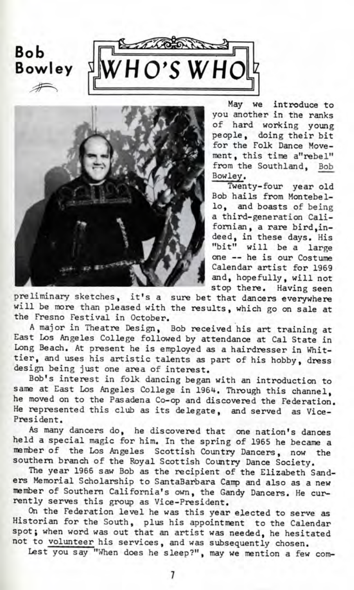



May we introduce to you another in the ranks of hard working young people, doing their bit for the Folk Dance Movement, this time a"rebel" from the Southland, Bob Bowley.

Twenty-four year old Bob hails from Montebello, and boasts of being a third-generation Californian, a rare bird,indeed, in these days. His "bit" will be a large one — he is our Costume Calendar artist for 1969 and, hopefully, will not stop there. Having seen

preliminary sketches, it's a sure bet that dancers everywhere will be more than pleased with the results, which go on sale at the Fresno Festival in October.

A major in Theatre Design, Bob received his art training at East Los Angeles College followed by attendance at Cal State in Long Beach. At present he is employed as a hairdresser in Whittier, and uses his artistic talents as part of his hobby, dress design being just one area of interest.

Bob's interest in folk dancing began with an introduction to same at East Los Angeles College in 1964. Through this channel, he moved on to the Pasadena Co-op and discovered the Federation. He represented this club as its delegate, and served as Vice-President.

As many dancers do, he discovered that one nation's dances held a special magic for him. In the spring of 1965 he became a member of the Los Angeles Scottish Country Dancers, now the southern branch of the Royal Scottish Country Dance Society.

The year 1966 saw Bob as the recipient of the Elizabeth Sanders Memorial Scholarship to SantaBarbara Camp and also as a new member of Southern California's own, the Gandy Dancers. He currently serves this group as Vice-President.

On the Federation level he was this year elected to serve as Historian for the South, plus his appointment to the Calendar spot; when word was out that an artist was needed, he hesitated not to volunteer his services, and was subsequently chosen.

Lest you say "When does he sleep?", may we mention a few com-